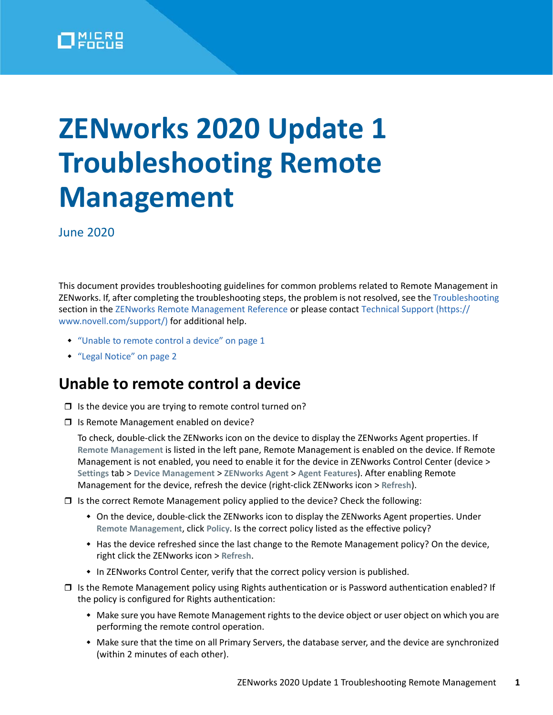

## **ZENworks 2020 Update 1 Troubleshooting Remote Management**

June 2020

This document provides troubleshooting guidelines for common problems related to Remote Management in ZENworks. If, after completing the troubleshooting steps, the problem is not resolved, see the [Troubleshooting](https://www.novell.com/documentation/zenworks-2020/pdfdoc/zen_cm_remote/zen_cm_remote.pdf#baertsh) section in the [ZENworks Remote Management Reference](https://www.novell.com/documentation/zenworks-2020/pdfdoc/zen_cm_remote/zen_cm_remote.pdf#bookinfo) or please contact [Technical Support](https://www.novell.com/support/) (https:// www.novell.com/support/) for additional help.

- ["Unable to remote control a device" on page 1](#page-0-0)
- ["Legal Notice" on page 2](#page-1-0)

## <span id="page-0-0"></span>**Unable to remote control a device**

- $\Box$  Is the device you are trying to remote control turned on?
- □ Is Remote Management enabled on device?

To check, double-click the ZENworks icon on the device to display the ZENworks Agent properties. If **Remote Management** is listed in the left pane, Remote Management is enabled on the device. If Remote Management is not enabled, you need to enable it for the device in ZENworks Control Center (device > **Settings** tab > **Device Management** > **ZENworks Agent** > **Agent Features**). After enabling Remote Management for the device, refresh the device (right-click ZENworks icon > **Refresh**).

- $\Box$  Is the correct Remote Management policy applied to the device? Check the following:
	- On the device, double-click the ZENworks icon to display the ZENworks Agent properties. Under **Remote Management**, click **Policy**. Is the correct policy listed as the effective policy?
	- Has the device refreshed since the last change to the Remote Management policy? On the device, right click the ZENworks icon > **Refresh**.
	- In ZENworks Control Center, verify that the correct policy version is published.
- $\Box$  Is the Remote Management policy using Rights authentication or is Password authentication enabled? If the policy is configured for Rights authentication:
	- Make sure you have Remote Management rights to the device object or user object on which you are performing the remote control operation.
	- Make sure that the time on all Primary Servers, the database server, and the device are synchronized (within 2 minutes of each other).